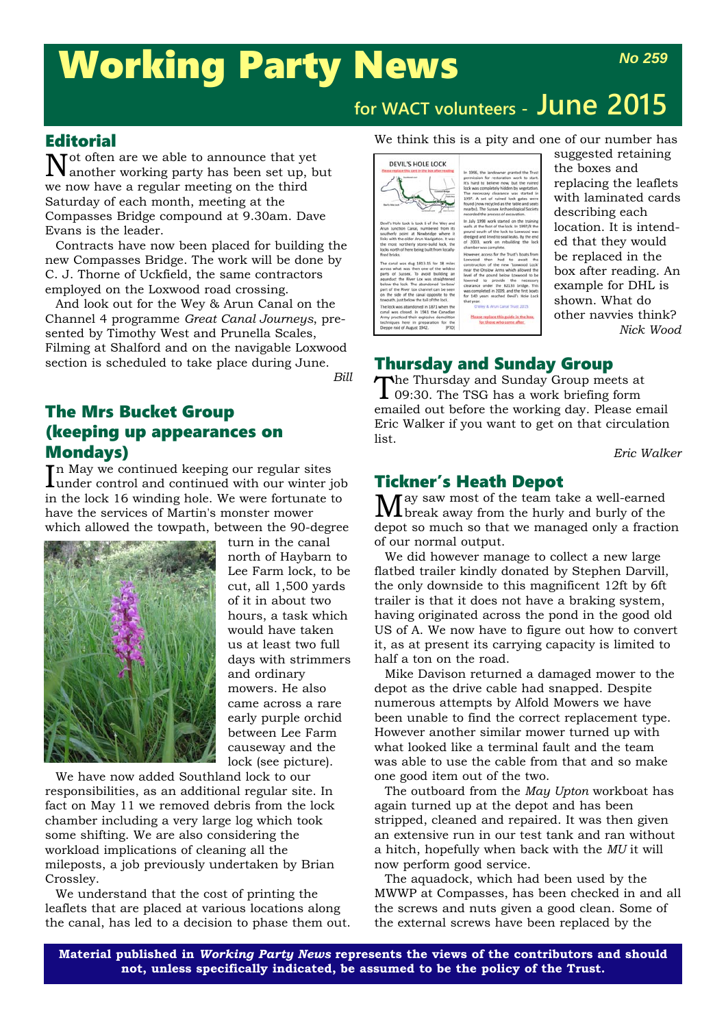# Working Party News

# **for WACT volunteers - June 2015**

#### **Editorial**

Not often are we able to announce that yet another working party has been set up, but we now have a regular meeting on the third Saturday of each month, meeting at the Compasses Bridge compound at 9.30am. Dave Evans is the leader.

Contracts have now been placed for building the new Compasses Bridge. The work will be done by C. J. Thorne of Uckfield, the same contractors employed on the Loxwood road crossing.

And look out for the Wey & Arun Canal on the Channel 4 programme *Great Canal Journeys*, presented by Timothy West and Prunella Scales, Filming at Shalford and on the navigable Loxwood section is scheduled to take place during June.

*Bill*

### The Mrs Bucket Group (keeping up appearances on Mondays)

In May we continued keeping our regular sites<br>lunder control and continued with our winter under control and continued with our winter job in the lock 16 winding hole. We were fortunate to have the services of Martin's monster mower which allowed the towpath, between the 90-degree



turn in the canal north of Haybarn to Lee Farm lock, to be cut, all 1,500 yards of it in about two hours, a task which would have taken us at least two full days with strimmers and ordinary mowers. He also came across a rare early purple orchid between Lee Farm causeway and the lock (see picture).

We have now added Southland lock to our responsibilities, as an additional regular site. In fact on May 11 we removed debris from the lock chamber including a very large log which took some shifting. We are also considering the workload implications of cleaning all the mileposts, a job previously undertaken by Brian Crossley.

We understand that the cost of printing the leaflets that are placed at various locations along the canal, has led to a decision to phase them out.

#### We think this is a pity and one of our number has



suggested retaining the boxes and replacing the leaflets with laminated cards describing each location. It is intended that they would be replaced in the box after reading. An example for DHL is shown. What do other navvies think? *Nick Wood*

## Thursday and Sunday Group

The Thursday and Sunday Group meets at **I** 09:30. The TSG has a work briefing form emailed out before the working day. Please email Eric Walker if you want to get on that circulation list.

*Eric Walker*

### Tickner's Heath Depot

May saw most of the team take a well-earned break away from the hurly and burly of the depot so much so that we managed only a fraction of our normal output.

We did however manage to collect a new large flatbed trailer kindly donated by Stephen Darvill, the only downside to this magnificent 12ft by 6ft trailer is that it does not have a braking system, having originated across the pond in the good old US of A. We now have to figure out how to convert it, as at present its carrying capacity is limited to half a ton on the road.

Mike Davison returned a damaged mower to the depot as the drive cable had snapped. Despite numerous attempts by Alfold Mowers we have been unable to find the correct replacement type. However another similar mower turned up with what looked like a terminal fault and the team was able to use the cable from that and so make one good item out of the two.

The outboard from the *May Upton* workboat has again turned up at the depot and has been stripped, cleaned and repaired. It was then given an extensive run in our test tank and ran without a hitch, hopefully when back with the *MU* it will now perform good service.

The aquadock, which had been used by the MWWP at Compasses, has been checked in and all the screws and nuts given a good clean. Some of the external screws have been replaced by the

**Material published in** *Working Party News* **represents the views of the contributors and should not, unless specifically indicated, be assumed to be the policy of the Trust.**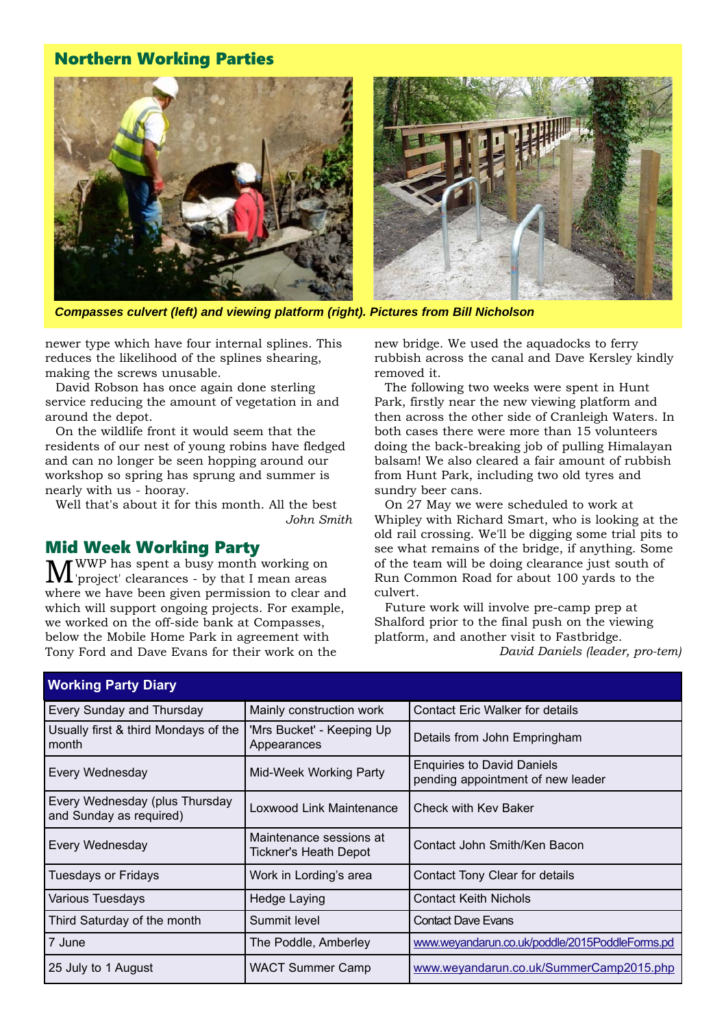#### Northern Working Parties



*Compasses culvert (left) and viewing platform (right). Pictures from Bill Nicholson*

newer type which have four internal splines. This reduces the likelihood of the splines shearing, making the screws unusable.

David Robson has once again done sterling service reducing the amount of vegetation in and around the depot.

On the wildlife front it would seem that the residents of our nest of young robins have fledged and can no longer be seen hopping around our workshop so spring has sprung and summer is nearly with us - hooray.

Well that's about it for this month. All the best *John Smith*

# **Mid Week Working Party**<br>**TM** *M* WWP has spent a busy month working on

MWWP has spent a busy month working on 'project' clearances - by that I mean areas where we have been given permission to clear and which will support ongoing projects. For example, we worked on the off-side bank at Compasses, below the Mobile Home Park in agreement with Tony Ford and Dave Evans for their work on the

new bridge. We used the aquadocks to ferry rubbish across the canal and Dave Kersley kindly removed it.

The following two weeks were spent in Hunt Park, firstly near the new viewing platform and then across the other side of Cranleigh Waters. In both cases there were more than 15 volunteers doing the back-breaking job of pulling Himalayan balsam! We also cleared a fair amount of rubbish from Hunt Park, including two old tyres and sundry beer cans.

On 27 May we were scheduled to work at Whipley with Richard Smart, who is looking at the old rail crossing. We'll be digging some trial pits to see what remains of the bridge, if anything. Some of the team will be doing clearance just south of Run Common Road for about 100 yards to the culvert.

Future work will involve pre-camp prep at Shalford prior to the final push on the viewing platform, and another visit to Fastbridge. *David Daniels (leader, pro-tem)*

| <b>Working Party Diary</b>                                |                                                                                                  |                                                |  |  |
|-----------------------------------------------------------|--------------------------------------------------------------------------------------------------|------------------------------------------------|--|--|
| Every Sunday and Thursday                                 | Mainly construction work                                                                         | <b>Contact Eric Walker for details</b>         |  |  |
| Usually first & third Mondays of the<br>month             | 'Mrs Bucket' - Keeping Up<br>Appearances                                                         | Details from John Empringham                   |  |  |
| Every Wednesday                                           | <b>Enquiries to David Daniels</b><br>Mid-Week Working Party<br>pending appointment of new leader |                                                |  |  |
| Every Wednesday (plus Thursday<br>and Sunday as required) | Loxwood Link Maintenance                                                                         | Check with Kev Baker                           |  |  |
| Every Wednesday                                           | Maintenance sessions at<br>Tickner's Heath Depot                                                 | Contact John Smith/Ken Bacon                   |  |  |
| <b>Tuesdays or Fridays</b>                                | Work in Lording's area                                                                           | Contact Tony Clear for details                 |  |  |
| Various Tuesdays                                          | Hedge Laying                                                                                     | <b>Contact Keith Nichols</b>                   |  |  |
| Third Saturday of the month                               | Summit level                                                                                     | <b>Contact Dave Evans</b>                      |  |  |
| 7 June                                                    | The Poddle, Amberley                                                                             | www.weyandarun.co.uk/poddle/2015PoddleForms.pd |  |  |
| 25 July to 1 August                                       | <b>WACT Summer Camp</b>                                                                          | www.weyandarun.co.uk/SummerCamp2015.php        |  |  |